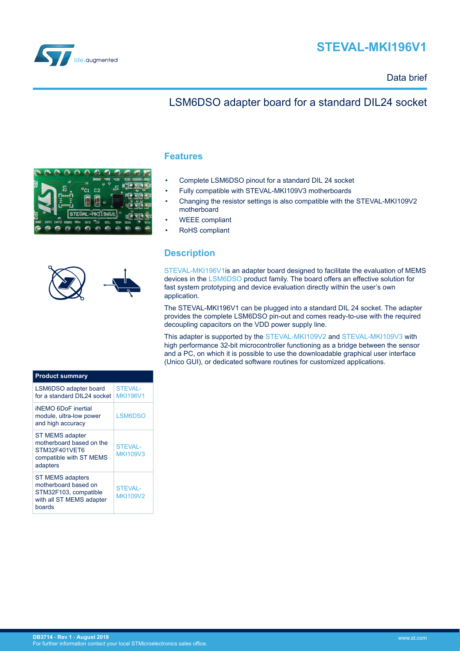



### Data brief

## LSM6DSO adapter board for a standard DIL24 socket

|           |             |                  |               |    |  |  | m |
|-----------|-------------|------------------|---------------|----|--|--|---|
|           |             |                  |               | C2 |  |  |   |
|           |             |                  |               |    |  |  |   |
|           |             |                  | STEVAL-MKI196 |    |  |  |   |
| <b>GN</b> | <b>INT1</b> | <b>INT2 0SD0</b> | SD.           |    |  |  |   |
|           |             |                  |               |    |  |  |   |

### **Features**

- Complete LSM6DSO pinout for a standard DIL 24 socket
- Fully compatible with STEVAL-MKI109V3 motherboards
- Changing the resistor settings is also compatible with the STEVAL-MKI109V2 motherboard
- WEEE compliant
- RoHS compliant

## **Description**

[STEVAL-MKI196V1](https://www.st.com/en/product/steval-mki196v1)is an adapter board designed to facilitate the evaluation of MEMS devices in the [LSM6DSO](https://www.st.com/en/product/lsm6dso) product family. The board offers an effective solution for fast system prototyping and device evaluation directly within the user's own application.

The STEVAL-MKI196V1 can be plugged into a standard DIL 24 socket. The adapter provides the complete LSM6DSO pin-out and comes ready-to-use with the required decoupling capacitors on the VDD power supply line.

This adapter is supported by the [STEVAL-MKI109V2](https://www.st.com/en/product/steval-mki109v2) and [STEVAL-MKI109V3](https://www.st.com/en/product/steval-mki109v3) with high performance 32-bit microcontroller functioning as a bridge between the sensor and a PC, on which it is possible to use the downloadable graphical user interface (Unico GUI), or dedicated software routines for customized applications.

| <b>Product summary</b>                                                                                         |                                   |  |  |
|----------------------------------------------------------------------------------------------------------------|-----------------------------------|--|--|
| LSM6DSO adapter board<br>for a standard DII 24 socket                                                          | <b>STEVAL-</b><br><b>MKI196V1</b> |  |  |
| <b>iNEMO 6DoF inertial</b><br>module, ultra-low power<br>and high accuracy                                     | LSM6DSO                           |  |  |
| <b>ST MEMS adapter</b><br>motherboard based on the<br>STM32F401VET6<br>compatible with ST MEMS<br>adapters     | <b>STEVAL-</b><br><b>MKI109V3</b> |  |  |
| <b>ST MEMS adapters</b><br>motherboard based on<br>STM32F103, compatible<br>with all ST MEMS adapter<br>boards | <b>STEVAL-</b><br><b>MKI109V2</b> |  |  |

| LSM6DSO adapter board<br>for a standard DII 24 socket                                                          | <b>STEVAL-</b><br><b>MKI196V1</b> |
|----------------------------------------------------------------------------------------------------------------|-----------------------------------|
| <b>iNEMO 6DoF</b> inertial<br>module, ultra-low power<br>and high accuracy                                     | LSM6DSO                           |
| <b>ST MEMS adapter</b><br>motherboard based on the<br>STM32F401VFT6<br>compatible with ST MEMS<br>adapters     | <b>STEVAL-</b><br>MK1109V3        |
| <b>ST MEMS adapters</b><br>motherboard based on<br>STM32F103, compatible<br>with all ST MEMS adapter<br>boards | <b>STEVAL-</b><br>MK1109V2        |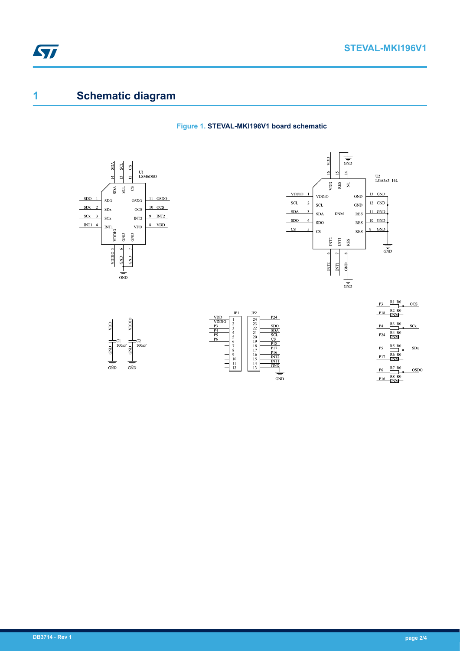# **1 Schematic diagram**

ST

### **Figure 1. STEVAL-MKI196V1 board schematic**

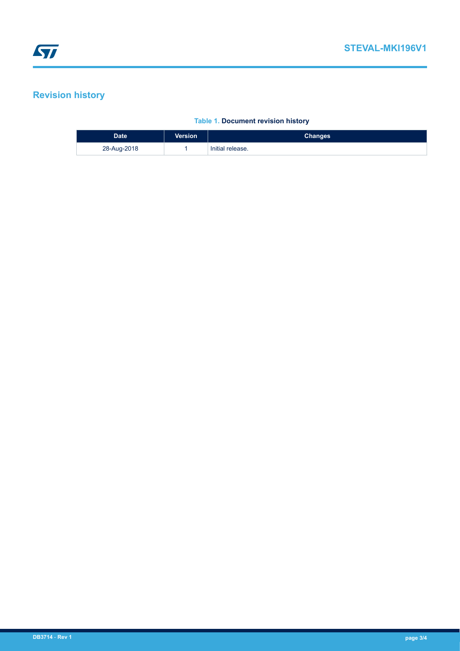## **Revision history**

### **Table 1. Document revision history**

| Date <sup>'</sup> | <b>Version</b> | <b>Changes</b>   |
|-------------------|----------------|------------------|
| 28-Aug-2018       |                | Initial release. |